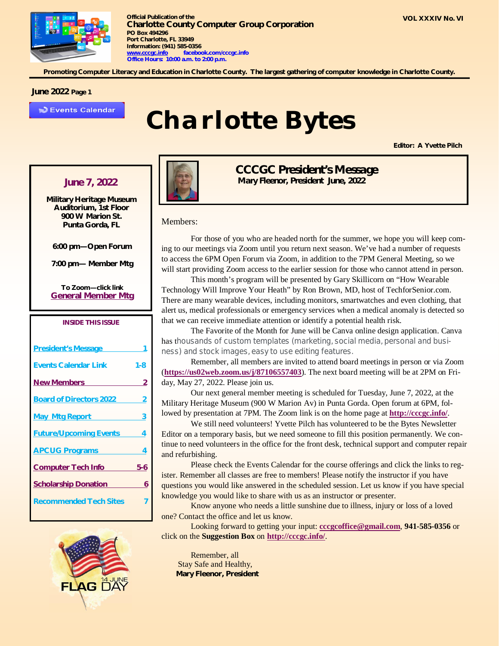

**Promoting Computer Literacy and Education in Charlotte County. The largest gathering of computer knowledge in Charlotte County.**

#### **June 2022 Page 1**

**D** Events Calendar

## *Charlotte Bytes*

**Editor: A Yvette Pilch**

**Military Heritage Museum Auditorium, 1st Floor 900 W Marion St. Punta Gorda, FL**

**6:00 pm—Open Forum**

**7:00 pm— Member Mtg**

**To Zoom—click link General Member Mtg**

#### *INSIDE THIS ISSUE*

| <b>President's Message</b>     |     |
|--------------------------------|-----|
| <b>Events Calendar Link</b>    | 1-8 |
| <b>New Members</b>             | 2   |
| <b>Board of Directors 2022</b> | 2   |
| <b>May Mtg Report</b>          | 3   |
| <b>Future/Upcoming Events</b>  | 4   |
| <b>APCUG Programs</b>          | 4   |
| <b>Computer Tech Info</b>      | 5-6 |
| <b>Scholarship Donation</b>    | 6   |
| <b>Recommended Tech Sites</b>  |     |





*CCCGC President's Message June 7, 2022 Mary Fleenor, President June, 2022*

#### Members:

For those of you who are headed north for the summer, we hope you will keep coming to our meetings via Zoom until you return next season. We've had a number of requests to access the 6PM Open Forum via Zoom, in addition to the 7PM General Meeting, so we will start providing Zoom access to the earlier session for those who cannot attend in person.

This month's program will be presented by Gary Skillicorn on "How Wearable Technology Will Improve Your Heath" by Ron Brown, MD, host of TechforSenior.com. There are many wearable devices, including monitors, smartwatches and even clothing, that alert us, medical professionals or emergency services when a medical anomaly is detected so that we can receive immediate attention or identify a potential health risk.

The Favorite of the Month for June will be Canva online design application. Canva has thousands of custom templates (marketing, social media, personal and business) and stock images, easy to use editing features.

Remember, all members are invited to attend board meetings in person or via Zoom (**<https://us02web.zoom.us/j/87106557403>**). The next board meeting will be at 2PM on Friday, May 27, 2022. Please join us.

Our next general member meeting is scheduled for Tuesday, June 7, 2022, at the Military Heritage Museum (900 W Marion Av) in Punta Gorda. Open forum at 6PM, followed by presentation at 7PM. The Zoom link is on the home page at **<http://cccgc.info/>**.

We still need volunteers! Yvette Pilch has volunteered to be the Bytes Newsletter Editor on a temporary basis, but we need someone to fill this position permanently. We continue to need volunteers in the office for the front desk, technical support and computer repair and refurbishing.

Please check the Events Calendar for the course offerings and click the links to register. Remember all classes are free to members! Please notify the instructor if you have questions you would like answered in the scheduled session. Let us know if you have special knowledge you would like to share with us as an instructor or presenter.

Know anyone who needs a little sunshine due to illness, injury or loss of a loved one? Contact the office and let us know.

Looking forward to getting your input: **[cccgcoffice@gmail.com](mailto:cccgcoffice@gmail.com)**, **941-585-0356** or click on the **Suggestion Box** on **<http://cccgc.info/>**.

Remember, all Stay Safe and Healthy, **Mary Fleenor, President**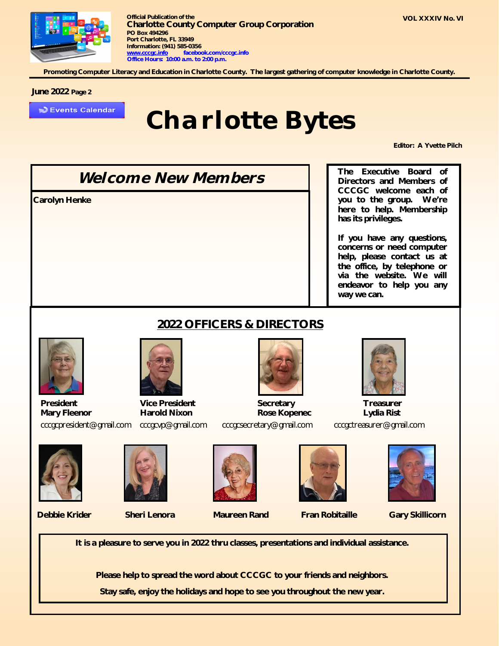

**Promoting Computer Literacy and Education in Charlotte County. The largest gathering of computer knowledge in Charlotte County.**

#### **June 2022 Page 2**

**D** Events Calendar

### *Charlotte Bytes*

**Editor: A Yvette Pilch**

*Welcome New Members* **Carolyn Henke**

**The Executive Board of Directors and Members of CCCGC welcome each of you to the group. We're here to help. Membership has its privileges.**

**If you have any questions, concerns or need computer help, please contact us at the office, by telephone or via the website. We will endeavor to help you any way we can.**

### **2022 OFFICERS & DIRECTORS**



**President Vice President Secretary Treasurer Mary Fleenor Harold Nixon Rose Kopenec Lydia Rist** [cccgcpresident@gmail.com](mailto:cccgcpresident@gmail.com)[cccgcvp@gmail.com](mailto:cccgcvp@gmail.com) [cccgcsecretary@gmail.com](mailto:cccgcsecretary@gmail.com) [cccgctreasurer@gmail.com](mailto:cccgctreasurer@gmail.com)

















**Debbie Krider Sheri Lenora Maureen Rand Fran Robitaille Gary Skillicorn**

**It is a pleasure to serve you in 2022 thru classes, presentations and individual assistance.** 

**Please help to spread the word about CCCGC to your friends and neighbors.** 

**Stay safe, enjoy the holidays and hope to see you throughout the new year.**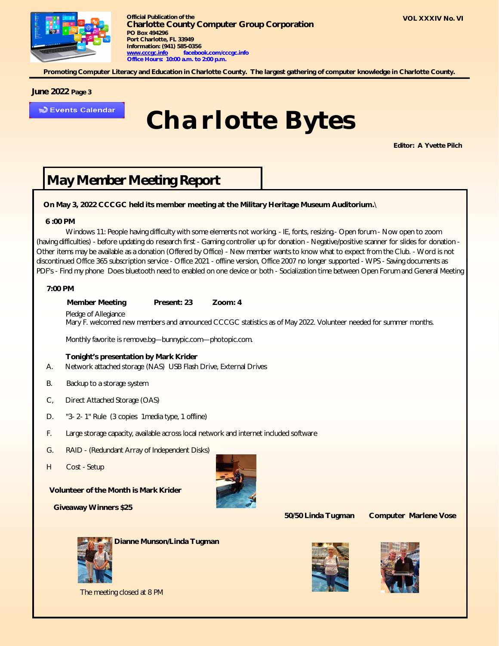

**Promoting Computer Literacy and Education in Charlotte County. The largest gathering of computer knowledge in Charlotte County.**

#### **June 2022 Page 3**

Events Calendar

## *Charlotte Bytes*

**Editor: A Yvette Pilch**

### *May Member Meeting Report*

#### **On May 3, 2022 CCCGC held its member meeting at the Military Heritage Museum Auditorium.**\

#### **6 :00 PM**

Windows 11: People having difficulty with some elements not working. - IE, fonts, resizing.- Open forum - Now open to zoom (having difficulties) - before updating do research first - Gaming controller up for donation - Negative/positive scanner for slides for donation - Other items may be available as a donation (Offered by Office) - New member wants to know what to expect from the Club. - Word is not discontinued Office 365 subscription service - Office 2021 - offline version, Office 2007 no longer supported - WPS - Saving documents as PDF's - Find my phone Does bluetooth need to enabled on one device or both - Socialization time between Open Forum and General Meeting

#### **7:00 PM**

**Member Meeting Present: 23 Zoom: 4**

Pledge of Allegiance

Mary F. welcomed new members and announced CCCGC statistics as of May 2022. Volunteer needed for summer months.

Monthly favorite is remove.bg—bunnypic.com—photopic.com.

#### **Tonight's presentation by Mark Krider**

- A. Network attached storage (NAS) USB Flash Drive, External Drives
- B. Backup to a storage system
- C, Direct Attached Storage (OAS)
- D. "3- 2- 1" Rule (3 copies 1media type, 1 offline)
- F. Large storage capacity, available across local network and internet included software
- G. RAID (Redundant Array of Independent Disks)
- H Cost Setup

#### **Volunteer of the Month is Mark Krider**

 **Giveaway Winners \$25**



 **50/50 Linda Tugman Computer Marlene Vose**



**Dianne Munson/Linda Tugman**





The meeting closed at 8 PM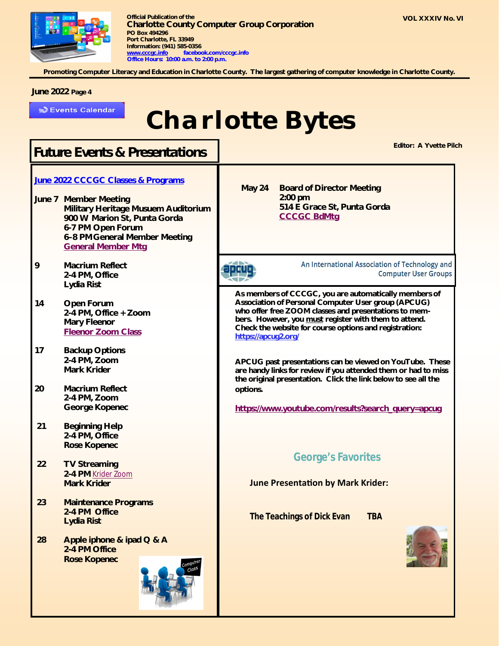

**Promoting Computer Literacy and Education in Charlotte County. The largest gathering of computer knowledge in Charlotte County.**

#### **June 2022 Page 4**

**D** Events Calendar

## *Charlotte Bytes*

### **Editor: A Yvette Pilch** *Future Events & Presentations*

#### **June 2022 CCCGC Classes & Programs**

- **June 7 Member Meeting Military Heritage Musuem Auditorium 900 W Marion St, Punta Gorda 6-7 PM Open Forum 6–8 PMGeneral Member Meeting General Member Mtg**
- **9 Macrium Reflect 2-4 PM, Office Lydia Rist**
- **14 Open Forum 2-4 PM, Office + Zoom Mary Fleenor Fleenor Zoom Class**
- **17 Backup Options 2-4 PM, Zoom Mark Krider**
- **20 Macrium Reflect 2-4 PM, Zoom George Kopenec**
- **21 Beginning Help 2-4 PM, Office Rose Kopenec**
- **22 TV Streaming 2-4 PM** Krider Zoom **Mark Krider**
- **23 Maintenance Programs 2-4 PM Office Lydia Rist**
- **28 Apple iphone & ipad Q & A 2-4 PM Office Rose Kopenec**



 **May 24 Board of Director Meeting 2:00 pm 514 E Grace St, Punta Gorda CCCGC BdMtg**

apcuq

An International Association of Technology and **Computer User Groups** 

**As members of CCCGC, you are automatically members of Association of Personal Computer User group (APCUG) who offer free ZOOM classes and presentations to members. However, you must register with them to attend. Check the website for course options and registration: <https://apcug2.org/>**

**APCUG past presentations can be viewed on YouTube. These are handy links for review if you attended them or had to miss the original presentation. Click the link below to see all the options.** 

**[https://www.youtube.com/results?search\\_query=apcug](https://www.youtube.com/results?search_query=apcug)**

### **George's Favorites**

**June Presentation by Mark Krider:** 

**The Teachings of Dick Evan TBA**

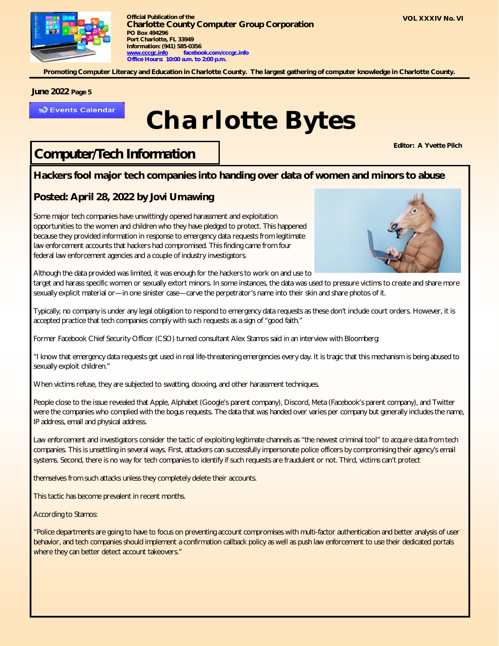

**Promoting Computer Literacy and Education in Charlotte County. The largest gathering of computer knowledge in Charlotte County.**

#### **June 2022 Page 5**

**DEvents Calendar** 

## *Charlotte Bytes*

### *Computer/Tech Information*

**Editor: A Yvette Pilch**

#### **Hackers fool major tech companies into handing over data of women and minors to abuse**

### **Posted: April 28, 2022 by Jovi Umawing**

Some major tech companies have unwittingly opened harassment and exploitation opportunities to the women and children who they have pledged to protect. This happened because they provided information in response to emergency data requests from legitimate law enforcement accounts that hackers had compromised. This finding came from four federal law enforcement agencies and a couple of industry investigators.



Although the data provided was limited, it was enough for the hackers to work on and use to

target and harass specific women or sexually extort minors. In some instances, the data was used to pressure victims to create and share more sexually explicit material or—in one sinister case—carve the perpetrator's name into their skin and share photos of it.

Typically, no company is under any legal obligation to respond to emergency data requests as these don't include court orders. However, it is accepted practice that tech companies comply with such requests as a sign of "good faith."

Former Facebook Chief Security Officer (CSO) turned consultant Alex Stamos said in an interview with Bloomberg:

"I know that emergency data requests get used in real life-threatening emergencies every day. It is tragic that this mechanism is being abused to sexually exploit children."

When victims refuse, they are subjected to swatting, doxxing, and other harassment techniques.

People close to the issue revealed that Apple, Alphabet (Google's parent company), Discord, Meta (Facebook's parent company), and Twitter were the companies who complied with the bogus requests. The data that was handed over varies per company but generally includes the name, IP address, email and physical address.

Law enforcement and investigators consider the tactic of exploiting legitimate channels as "the newest criminal tool" to acquire data from tech companies. This is unsettling in several ways. First, attackers can successfully impersonate police officers by compromising their agency's email systems. Second, there is no way for tech companies to identify if such requests are fraudulent or not. Third, victims can't protect

themselves from such attacks unless they completely delete their accounts.

This tactic has become prevalent in recent months.

According to Stamos:

"Police departments are going to have to focus on preventing account compromises with multi-factor authentication and better analysis of user behavior, and tech companies should implement a confirmation callback policy as well as push law enforcement to use their dedicated portals where they can better detect account takeovers."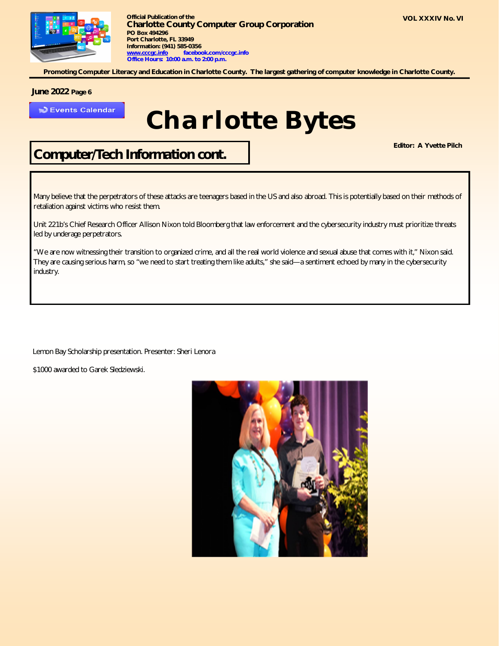

**Promoting Computer Literacy and Education in Charlotte County. The largest gathering of computer knowledge in Charlotte County.**

#### **June 2022 Page 6**

**D** Events Calendar

## *Charlotte Bytes*

*Computer/Tech Information cont.*

**Editor: A Yvette Pilch**

Many believe that the perpetrators of these attacks are teenagers based in the US and also abroad. This is potentially based on their methods of retaliation against victims who resist them.

Unit 221b's Chief Research Officer Allison Nixon told Bloomberg that law enforcement and the cybersecurity industry must prioritize threats led by underage perpetrators.

"We are now witnessing their transition to organized crime, and all the real world violence and sexual abuse that comes with it," Nixon said. They are causing serious harm, so "we need to start treating them like adults," she said—a sentiment echoed by many in the cybersecurity industry.

Lemon Bay Scholarship presentation. Presenter: Sheri Lenora

\$1000 awarded to Garek Sledziewski.